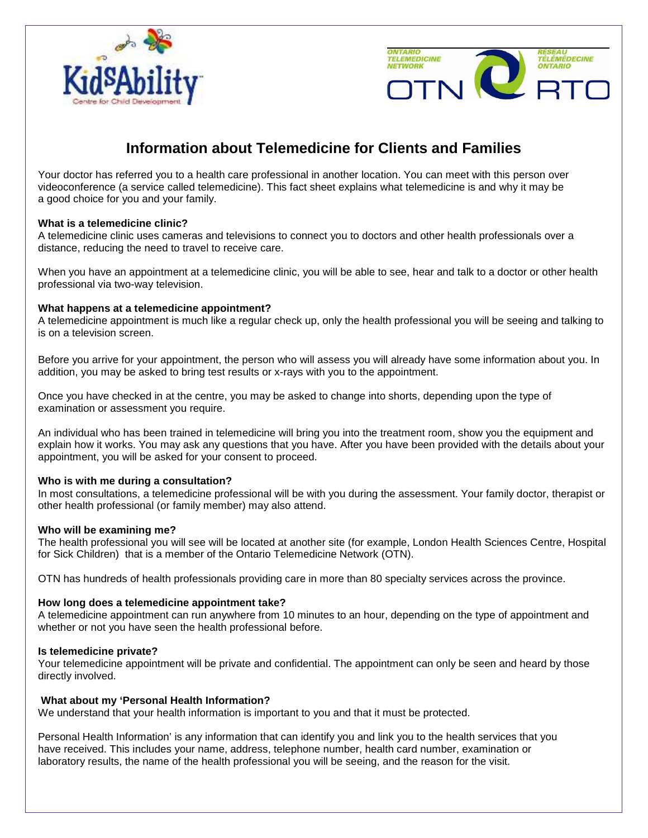



# **Information about Telemedicine for Clients and Families**

Your doctor has referred you to a health care professional in another location. You can meet with this person over videoconference (a service called telemedicine). This fact sheet explains what telemedicine is and why it may be a good choice for you and your family.

## **What is a telemedicine clinic?**

A telemedicine clinic uses cameras and televisions to connect you to doctors and other health professionals over a distance, reducing the need to travel to receive care.

When you have an appointment at a telemedicine clinic, you will be able to see, hear and talk to a doctor or other health professional via two-way television.

## **What happens at a telemedicine appointment?**

A telemedicine appointment is much like a regular check up, only the health professional you will be seeing and talking to is on a television screen.

Before you arrive for your appointment, the person who will assess you will already have some information about you. In addition, you may be asked to bring test results or x-rays with you to the appointment.

Once you have checked in at the centre, you may be asked to change into shorts, depending upon the type of examination or assessment you require.

An individual who has been trained in telemedicine will bring you into the treatment room, show you the equipment and explain how it works. You may ask any questions that you have. After you have been provided with the details about your appointment, you will be asked for your consent to proceed.

#### **Who is with me during a consultation?**

In most consultations, a telemedicine professional will be with you during the assessment. Your family doctor, therapist or other health professional (or family member) may also attend.

#### **Who will be examining me?**

The health professional you will see will be located at another site (for example, London Health Sciences Centre, Hospital for Sick Children) that is a member of the Ontario Telemedicine Network (OTN).

OTN has hundreds of health professionals providing care in more than 80 specialty services across the province.

#### **How long does a telemedicine appointment take?**

A telemedicine appointment can run anywhere from 10 minutes to an hour, depending on the type of appointment and whether or not you have seen the health professional before.

#### **Is telemedicine private?**

Your telemedicine appointment will be private and confidential. The appointment can only be seen and heard by those directly involved.

#### **What about my 'Personal Health Information?**

We understand that your health information is important to you and that it must be protected.

Personal Health Information' is any information that can identify you and link you to the health services that you have received. This includes your name, address, telephone number, health card number, examination or laboratory results, the name of the health professional you will be seeing, and the reason for the visit.